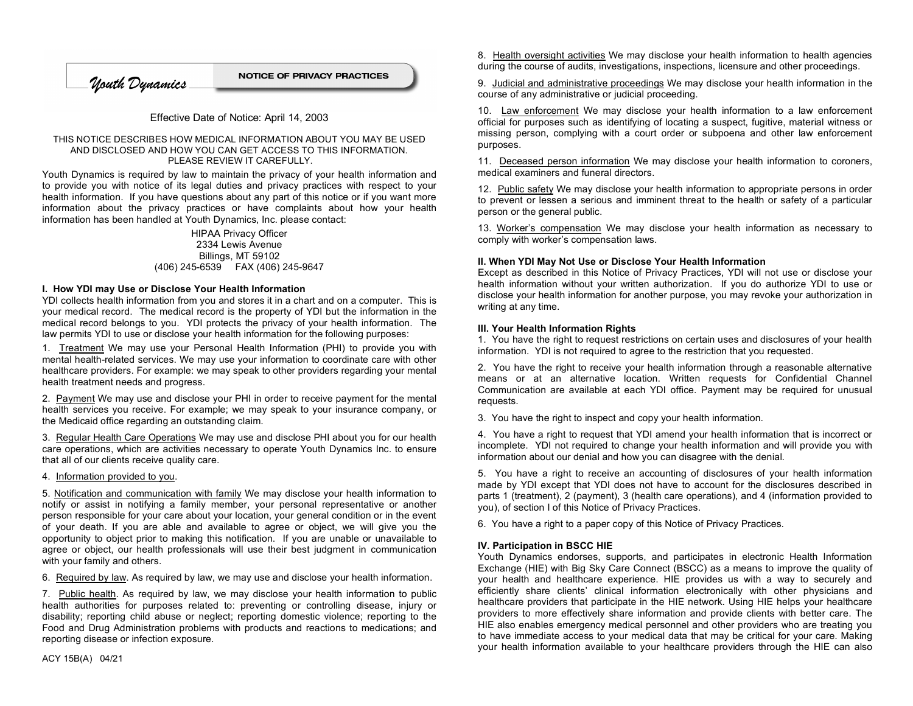**NOTICE OF PRIVACY PRACTICES** Mouth Dynamics

# Effective Date of Notice: April 14, 2003

#### THIS NOTICE DESCRIBES HOW MEDICAL INFORMATION ABOUT YOU MAY BE USED AND DISCLOSED AND HOW YOU CAN GET ACCESS TO THIS INFORMATION. PLEASE REVIEW IT CAREFULLY.

Youth Dynamics is required by law to maintain the privacy of your health information and to provide you with notice of its legal duties and privacy practices with respect to your health information. If you have questions about any part of this notice or if you want more information about the privacy practices or have complaints about how your health information has been handled at Youth Dynamics, Inc. please contact:

#### HIPAA Privacy Officer 2334 Lewis Avenue Billings, MT 59102 (406) 245-6539 FAX (406) 245-9647

#### **I. How YDI may Use or Disclose Your Health Information**

YDI collects health information from you and stores it in a chart and on a computer. This is your medical record. The medical record is the property of YDI but the information in the medical record belongs to you. YDI protects the privacy of your health information. The law permits YDI to use or disclose your health information for the following purposes:

1. Treatment We may use your Personal Health Information (PHI) to provide you with mental health-related services. We may use your information to coordinate care with other healthcare providers. For example: we may speak to other providers regarding your mental health treatment needs and progress.

2. Payment We may use and disclose your PHI in order to receive payment for the mental health services you receive. For example; we may speak to your insurance company, or the Medicaid office regarding an outstanding claim.

3. Regular Health Care Operations We may use and disclose PHI about you for our health care operations, which are activities necessary to operate Youth Dynamics Inc. to ensure that all of our clients receive quality care.

4. Information provided to you.

5. Notification and communication with family We may disclose your health information to notify or assist in notifying a family member, your personal representative or another person responsible for your care about your location, your general condition or in the event of your death. If you are able and available to agree or object, we will give you the opportunity to object prior to making this notification. If you are unable or unavailable to agree or object, our health professionals will use their best judgment in communication with your family and others.

6. Required by law. As required by law, we may use and disclose your health information.

7. Public health. As required by law, we may disclose your health information to public health authorities for purposes related to: preventing or controlling disease, injury or disability; reporting child abuse or neglect; reporting domestic violence; reporting to the Food and Drug Administration problems with products and reactions to medications; and reporting disease or infection exposure.

8. Health oversight activities We may disclose your health information to health agencies during the course of audits, investigations, inspections, licensure and other proceedings.

9. Judicial and administrative proceedings We may disclose your health information in the course of any administrative or judicial proceeding.

10. Law enforcement We may disclose your health information to a law enforcement official for purposes such as identifying of locating a suspect, fugitive, material witness or missing person, complying with a court order or subpoena and other law enforcement purposes.

11. Deceased person information We may disclose your health information to coroners, medical examiners and funeral directors.

12. Public safety We may disclose your health information to appropriate persons in order to prevent or lessen a serious and imminent threat to the health or safety of a particular person or the general public.

13. Worker's compensation We may disclose your health information as necessary to comply with worker's compensation laws.

# **II. When YDI May Not Use or Disclose Your Health Information**

Except as described in this Notice of Privacy Practices, YDI will not use or disclose your health information without your written authorization. If you do authorize YDI to use or disclose your health information for another purpose, you may revoke your authorization in writing at any time.

# **III. Your Health Information Rights**

1. You have the right to request restrictions on certain uses and disclosures of your health information. YDI is not required to agree to the restriction that you requested.

2. You have the right to receive your health information through a reasonable alternative means or at an alternative location. Written requests for Confidential Channel Communication are available at each YDI office. Payment may be required for unusual requests.

3. You have the right to inspect and copy your health information.

4. You have a right to request that YDI amend your health information that is incorrect or incomplete. YDI not required to change your health information and will provide you with information about our denial and how you can disagree with the denial.

5. You have a right to receive an accounting of disclosures of your health information made by YDI except that YDI does not have to account for the disclosures described in parts 1 (treatment), 2 (payment), 3 (health care operations), and 4 (information provided to you), of section I of this Notice of Privacy Practices.

6. You have a right to a paper copy of this Notice of Privacy Practices.

# **IV. Participation in BSCC HIE**

Youth Dynamics endorses, supports, and participates in electronic Health Information Exchange (HIE) with Big Sky Care Connect (BSCC) as a means to improve the quality of your health and healthcare experience. HIE provides us with a way to securely and efficiently share clients' clinical information electronically with other physicians and healthcare providers that participate in the HIE network. Using HIE helps your healthcare providers to more effectively share information and provide clients with better care. The HIE also enables emergency medical personnel and other providers who are treating you to have immediate access to your medical data that may be critical for your care. Making your health information available to your healthcare providers through the HIE can also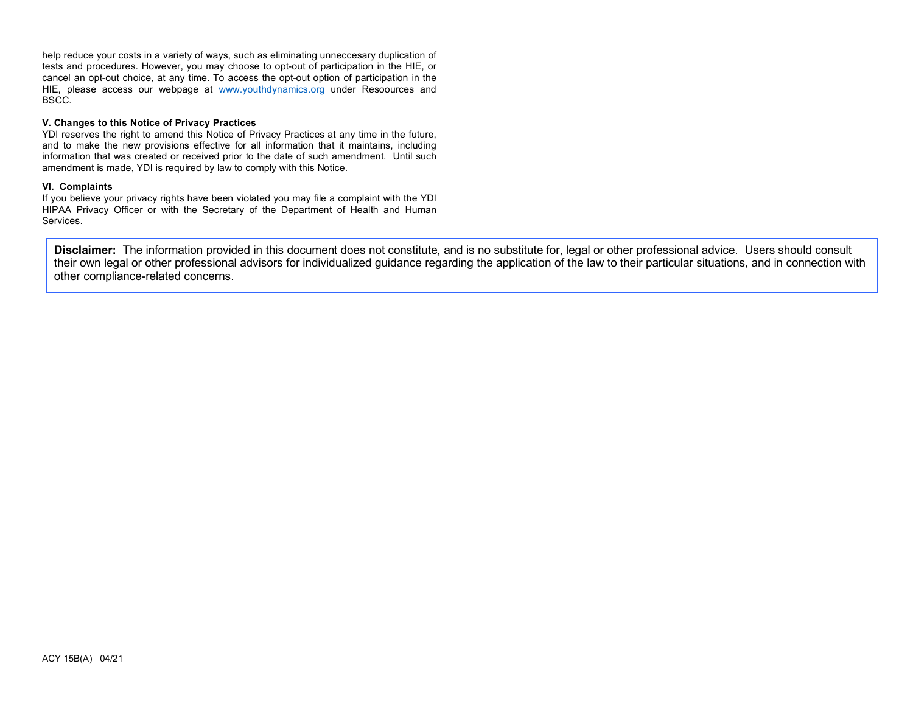help reduce your costs in a variety of ways, such as eliminating unneccesary duplication of tests and procedures. However, you may choose to opt-out of participation in the HIE, or cancel an opt-out choice, at any time. To access the opt-out option of participation in the HIE, please access our webpage at www.youthdynamics.org under Resoources and BSCC.

### **V. Changes to this Notice of Privacy Practices**

YDI reserves the right to amend this Notice of Privacy Practices at any time in the future, and to make the new provisions effective for all information that it maintains, including information that was created or received prior to the date of such amendment. Until such amendment is made, YDI is required by law to comply with this Notice.

#### **VI. Complaints**

If you believe your privacy rights have been violated you may file a complaint with the YDI HIPAA Privacy Officer or with the Secretary of the Department of Health and Human Services.

**Disclaimer:** The information provided in this document does not constitute, and is no substitute for, legal or other professional advice. Users should consult their own legal or other professional advisors for individualized guidance regarding the application of the law to their particular situations, and in connection with other compliance-related concerns.